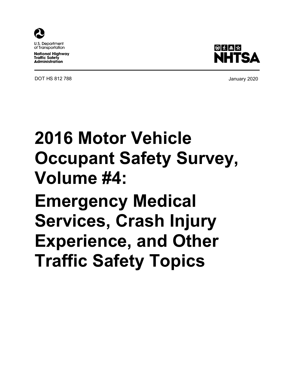

**U.S. Department** of Transportation

**National Highway Traffic Safety Administration** 

DOT HS 812 788 **DOT HS 812 788** 



# **2016 Motor Vehicle Occupant Safety Survey, Volume #4: Emergency Medical Services, Crash Injury Experience, and Other Traffic Safety Topics**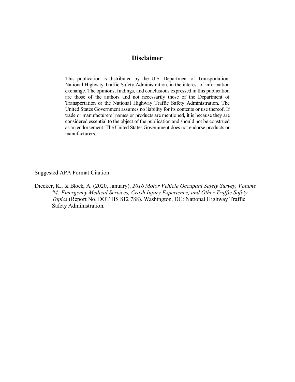## **Disclaimer**

This publication is distributed by the U.S. Department of Transportation, National Highway Traffic Safety Administration, in the interest of information exchange. The opinions, findings, and conclusions expressed in this publication are those of the authors and not necessarily those of the Department of Transportation or the National Highway Traffic Safety Administration. The United States Government assumes no liability for its contents or use thereof. If trade or manufacturers' names or products are mentioned, it is because they are considered essential to the object of the publication and should not be construed as an endorsement. The United States Government does not endorse products or manufacturers.

Suggested APA Format Citation:

Diecker, K., & Block, A. (2020, January). *2016 Motor Vehicle Occupant Safety Survey, Volume #4: Emergency Medical Services, Crash Injury Experience, and Other Traffic Safety Topics* (Report No. DOT HS 812 788). Washington, DC: National Highway Traffic Safety Administration.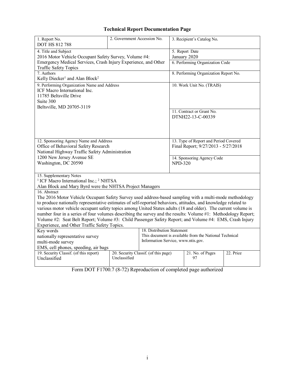## **Technical Report Documentation Page**

| 1. Report No.<br><b>DOT HS 812 788</b>                                                                                                                                                                                                                                                                                                                                                                                                                                                                                                                                                                                                 | 2. Government Accession No. |                                                                                                                            |                | 3. Recipient's Catalog No.                                                   |           |
|----------------------------------------------------------------------------------------------------------------------------------------------------------------------------------------------------------------------------------------------------------------------------------------------------------------------------------------------------------------------------------------------------------------------------------------------------------------------------------------------------------------------------------------------------------------------------------------------------------------------------------------|-----------------------------|----------------------------------------------------------------------------------------------------------------------------|----------------|------------------------------------------------------------------------------|-----------|
| 4. Title and Subject                                                                                                                                                                                                                                                                                                                                                                                                                                                                                                                                                                                                                   |                             |                                                                                                                            | 5. Report Date |                                                                              |           |
| 2016 Motor Vehicle Occupant Safety Survey, Volume #4:                                                                                                                                                                                                                                                                                                                                                                                                                                                                                                                                                                                  |                             |                                                                                                                            |                | January 2020                                                                 |           |
| Emergency Medical Services, Crash Injury Experience, and Other<br><b>Traffic Safety Topics</b>                                                                                                                                                                                                                                                                                                                                                                                                                                                                                                                                         |                             |                                                                                                                            |                | 6. Performing Organization Code                                              |           |
| 7. Authors<br>Kelly Diecker <sup>1</sup> and Alan Block <sup>2</sup>                                                                                                                                                                                                                                                                                                                                                                                                                                                                                                                                                                   |                             |                                                                                                                            |                | 8. Performing Organization Report No.                                        |           |
| 9. Performing Organization Name and Address<br>ICF Macro International Inc.<br>11785 Beltsville Drive<br>Suite 300<br>Beltsville, MD 20705-3119                                                                                                                                                                                                                                                                                                                                                                                                                                                                                        |                             |                                                                                                                            |                | 10. Work Unit No. (TRAIS)                                                    |           |
|                                                                                                                                                                                                                                                                                                                                                                                                                                                                                                                                                                                                                                        |                             |                                                                                                                            |                | 11. Contract or Grant No.<br>DTNH22-13-C-00339                               |           |
| 12. Sponsoring Agency Name and Address<br>Office of Behavioral Safety Research                                                                                                                                                                                                                                                                                                                                                                                                                                                                                                                                                         |                             |                                                                                                                            |                | 13. Type of Report and Period Covered<br>Final Report; 9/27/2013 - 5/27/2018 |           |
| National Highway Traffic Safety Administration                                                                                                                                                                                                                                                                                                                                                                                                                                                                                                                                                                                         |                             |                                                                                                                            |                |                                                                              |           |
| 1200 New Jersey Avenue SE                                                                                                                                                                                                                                                                                                                                                                                                                                                                                                                                                                                                              |                             |                                                                                                                            |                | 14. Sponsoring Agency Code                                                   |           |
| Washington, DC 20590                                                                                                                                                                                                                                                                                                                                                                                                                                                                                                                                                                                                                   |                             | <b>NPD-320</b>                                                                                                             |                |                                                                              |           |
| 15. Supplementary Notes<br><sup>1</sup> ICF Macro International Inc.; <sup>2</sup> NHTSA<br>Alan Block and Mary Byrd were the NHTSA Project Managers                                                                                                                                                                                                                                                                                                                                                                                                                                                                                   |                             |                                                                                                                            |                |                                                                              |           |
| 16. Abstract<br>The 2016 Motor Vehicle Occupant Safety Survey used address-based sampling with a multi-mode methodology<br>to produce nationally representative estimates of self-reported behaviors, attitudes, and knowledge related to<br>various motor vehicle occupant safety topics among United States adults (18 and older). The current volume is<br>number four in a series of four volumes describing the survey and the results: Volume #1: Methodology Report;<br>Volume #2: Seat Belt Report; Volume #3: Child Passenger Safety Report; and Volume #4: EMS, Crash Injury<br>Experience, and Other Traffic Safety Topics. |                             |                                                                                                                            |                |                                                                              |           |
| Key words<br>nationally representative survey<br>multi-mode survey<br>EMS, cell phones, speeding, air bags                                                                                                                                                                                                                                                                                                                                                                                                                                                                                                                             |                             | 18. Distribution Statement<br>This document is available from the National Technical<br>Information Service, www.ntis.gov. |                |                                                                              |           |
| 19. Security Classif. (of this report)<br>Unclassified                                                                                                                                                                                                                                                                                                                                                                                                                                                                                                                                                                                 | Unclassified                | 20. Security Classif. (of this page)                                                                                       |                | 21. No. of Pages<br>97                                                       | 22. Price |

Form DOT F1700.7 (8-72) Reproduction of completed page authorized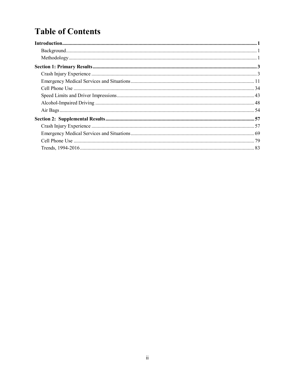## **Table of Contents**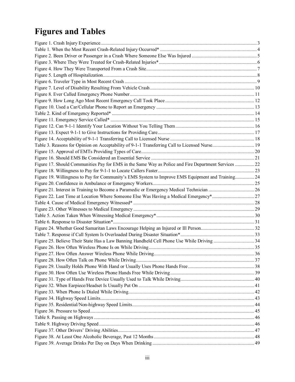# **Figures and Tables**

| Table 3. Reasons for Opinion on Acceptability of 9-1-1 Transferring Call to Licensed Nurse 19        |  |
|------------------------------------------------------------------------------------------------------|--|
|                                                                                                      |  |
|                                                                                                      |  |
| Figure 17. Should Communities Pay for EMS in the Same Way as Police and Fire Department Services  22 |  |
|                                                                                                      |  |
| Figure 19. Willingness to Pay for Community's EMS System to Improve EMS Equipment and Training 24    |  |
|                                                                                                      |  |
|                                                                                                      |  |
|                                                                                                      |  |
|                                                                                                      |  |
|                                                                                                      |  |
|                                                                                                      |  |
|                                                                                                      |  |
|                                                                                                      |  |
|                                                                                                      |  |
| Figure 25. Believe Their State Has a Law Banning Handheld Cell Phone Use While Driving 34            |  |
|                                                                                                      |  |
|                                                                                                      |  |
|                                                                                                      |  |
|                                                                                                      |  |
|                                                                                                      |  |
|                                                                                                      |  |
|                                                                                                      |  |
|                                                                                                      |  |
|                                                                                                      |  |
|                                                                                                      |  |
|                                                                                                      |  |
|                                                                                                      |  |
|                                                                                                      |  |
|                                                                                                      |  |
|                                                                                                      |  |
|                                                                                                      |  |
|                                                                                                      |  |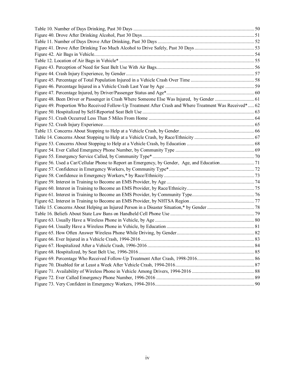<span id="page-5-0"></span>

| Figure 48. Been Driver or Passenger in Crash Where Someone Else Was Injured, by Gender  61              |  |
|---------------------------------------------------------------------------------------------------------|--|
| Figure 49. Proportion Who Received Follow-Up Treatment After Crash and Where Treatment Was Received* 62 |  |
|                                                                                                         |  |
|                                                                                                         |  |
|                                                                                                         |  |
|                                                                                                         |  |
|                                                                                                         |  |
|                                                                                                         |  |
|                                                                                                         |  |
|                                                                                                         |  |
|                                                                                                         |  |
|                                                                                                         |  |
|                                                                                                         |  |
|                                                                                                         |  |
|                                                                                                         |  |
|                                                                                                         |  |
|                                                                                                         |  |
|                                                                                                         |  |
|                                                                                                         |  |
|                                                                                                         |  |
|                                                                                                         |  |
|                                                                                                         |  |
|                                                                                                         |  |
|                                                                                                         |  |
|                                                                                                         |  |
|                                                                                                         |  |
|                                                                                                         |  |
|                                                                                                         |  |
|                                                                                                         |  |
|                                                                                                         |  |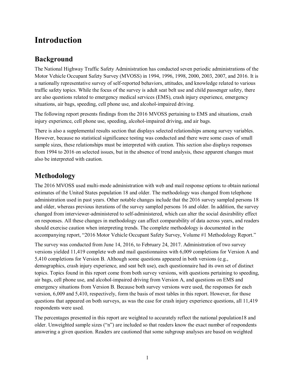## **Introduction**

## <span id="page-6-0"></span>**Background**

The National Highway Traffic Safety Administration has conducted seven periodic administrations of the Motor Vehicle Occupant Safety Survey (MVOSS) in 1994, 1996, 1998, 2000, 2003, 2007, and 2016. It is a nationally representative survey of self-reported behaviors, attitudes, and knowledge related to various traffic safety topics. While the focus of the survey is adult seat belt use and child passenger safety, there are also questions related to emergency medical services (EMS), crash injury experience, emergency situations, air bags, speeding, cell phone use, and alcohol-impaired driving.

The following report presents findings from the 2016 MVOSS pertaining to EMS and situations, crash injury experience, cell phone use, speeding, alcohol-impaired driving, and air bags.

There is also a supplemental results section that displays selected relationships among survey variables. However, because no statistical significance testing was conducted and there were some cases of small sample sizes, these relationships must be interpreted with caution. This section also displays responses from 1994 to 2016 on selected issues, but in the absence of trend analysis, these apparent changes must also be interpreted with caution.

## <span id="page-6-1"></span>**Methodology**

The 2016 MVOSS used multi-mode administration with web and mail response options to obtain national estimates of the United States population 18 and older. The methodology was changed from telephone administration used in past years. Other notable changes include that the 2016 survey sampled persons 18 and older, whereas previous iterations of the survey sampled persons 16 and older. In addition, the survey changed from interviewer-administered to self-administered, which can alter the social desirability effect on responses. All these changes in methodology can affect comparability of data across years, and readers should exercise caution when interpreting trends. The complete methodology is documented in the accompanying report, "2016 Motor Vehicle Occupant Safety Survey, Volume #1 Methodology Report."

The survey was conducted from June 14, 2016, to February 24, 2017. Administration of two survey versions yielded 11,419 complete web and mail questionnaires with 6,009 completions for Version A and 5,410 completions for Version B. Although some questions appeared in both versions (e.g., demographics, crash injury experience, and seat belt use), each questionnaire had its own set of distinct topics. Topics found in this report come from both survey versions, with questions pertaining to speeding, air bags, cell phone use, and alcohol-impaired driving from Version A, and questions on EMS and emergency situations from Version B. Because both survey versions were used, the responses for each version, 6,009 and 5,410, respectively, form the basis of most tables in this report. However, for those questions that appeared on both surveys, as was the case for crash injury experience questions, all 11,419 respondents were used.

The percentages presented in this report are weighted to accurately reflect the national population18 and older. Unweighted sample sizes ("n") are included so that readers know the exact number of respondents answering a given question. Readers are cautioned that some subgroup analyses are based on weighted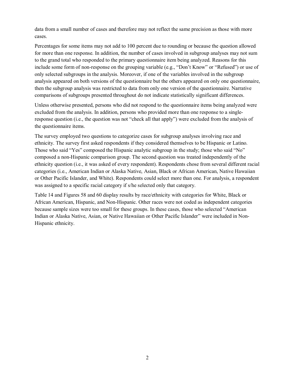data from a small number of cases and therefore may not reflect the same precision as those with more cases.

Percentages for some items may not add to 100 percent due to rounding or because the question allowed for more than one response. In addition, the number of cases involved in subgroup analyses may not sum to the grand total who responded to the primary questionnaire item being analyzed. Reasons for this include some form of non-response on the grouping variable (e.g., "Don't Know" or "Refused") or use of only selected subgroups in the analysis. Moreover, if one of the variables involved in the subgroup analysis appeared on both versions of the questionnaire but the others appeared on only one questionnaire, then the subgroup analysis was restricted to data from only one version of the questionnaire. Narrative comparisons of subgroups presented throughout do not indicate statistically significant differences.

Unless otherwise presented, persons who did not respond to the questionnaire items being analyzed were excluded from the analysis. In addition, persons who provided more than one response to a singleresponse question (i.e., the question was not "check all that apply") were excluded from the analysis of the questionnaire items.

The survey employed two questions to categorize cases for subgroup analyses involving race and ethnicity. The survey first asked respondents if they considered themselves to be Hispanic or Latino. Those who said "Yes" composed the Hispanic analytic subgroup in the study; those who said "No" composed a non-Hispanic comparison group. The second question was treated independently of the ethnicity question (i.e., it was asked of every respondent). Respondents chose from several different racial categories (i.e., American Indian or Alaska Native, Asian, Black or African American, Native Hawaiian or Other Pacific Islander, and White). Respondents could select more than one. For analysis, a respondent was assigned to a specific racial category if s/he selected only that category.

Table 14 and Figures 58 and 60 display results by race/ethnicity with categories for White, Black or African American, Hispanic, and Non-Hispanic. Other races were not coded as independent categories because sample sizes were too small for these groups. In these cases, those who selected "American Indian or Alaska Native, Asian, or Native Hawaiian or Other Pacific Islander" were included in Non-Hispanic ethnicity.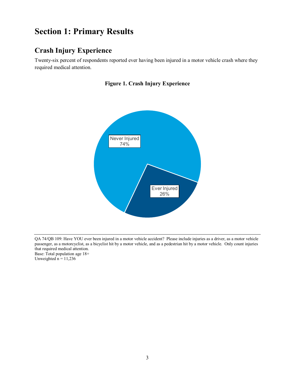## <span id="page-8-0"></span>**Section 1: Primary Results**

## <span id="page-8-1"></span>**Crash Injury Experience**

<span id="page-8-2"></span>Twenty-six percent of respondents reported ever having been injured in a motor vehicle crash where they required medical attention.



#### **Figure 1. Crash Injury Experience**

QA 74/QB 109: Have YOU ever been injured in a motor vehicle accident? Please include injuries as a driver, as a motor vehicle passenger, as a motorcyclist, as a bicyclist hit by a motor vehicle, and as a pedestrian hit by a motor vehicle. Only count injuries that required medical attention. Base: Total population age 18+

Unweighted  $n = 11,236$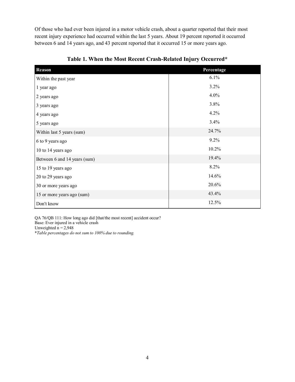Of those who had ever been injured in a motor vehicle crash, about a quarter reported that their most recent injury experience had occurred within the last 5 years. About 19 percent reported it occurred between 6 and 14 years ago, and 43 percent reported that it occurred 15 or more years ago.

<span id="page-9-0"></span>

| <b>Reason</b>                | Percentage |
|------------------------------|------------|
| Within the past year         | 6.1%       |
| 1 year ago                   | 3.2%       |
| 2 years ago                  | 4.0%       |
| 3 years ago                  | 3.8%       |
| 4 years ago                  | 4.2%       |
| 5 years ago                  | 3.4%       |
| Within last 5 years (sum)    | 24.7%      |
| 6 to 9 years ago             | 9.2%       |
| 10 to 14 years ago           | 10.2%      |
| Between 6 and 14 years (sum) | 19.4%      |
| 15 to 19 years ago           | 8.2%       |
| 20 to 29 years ago           | 14.6%      |
| 30 or more years ago         | 20.6%      |
| 15 or more years ago (sum)   | 43.4%      |
| Don't know                   | 12.5%      |

**Table 1. When the Most Recent Crash-Related Injury Occurred\*** 

QA 76/QB 111: How long ago did [that/the most recent] accident occur? Base: Ever injured in a vehicle crash Unweighted  $n = 2,948$ 

\**Table percentages do not sum to 100% due to rounding.*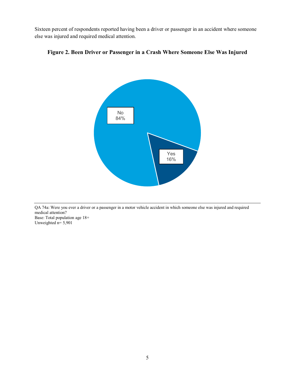Sixteen percent of respondents reported having been a driver or passenger in an accident where someone else was injured and required medical attention.



#### <span id="page-10-0"></span>**Figure 2. Been Driver or Passenger in a Crash Where Someone Else Was Injured**

QA 74a: Were you ever a driver or a passenger in a motor vehicle accident in which someone else was injured and required medical attention? Base: Total population age 18+ Unweighted n= 5,901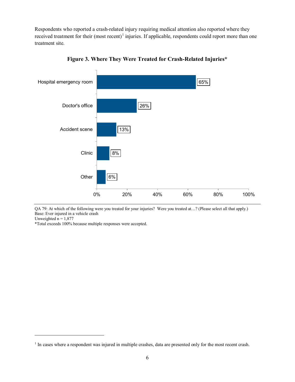Respondents who reported a crash-related injury requiring medical attention also reported where they received treatment for their (most recent)<sup>[1](#page-11-1)</sup> injuries. If applicable, respondents could report more than one treatment site.

<span id="page-11-0"></span>

**Figure 3. Where They Were Treated for Crash-Related Injuries\***

QA 79: At which of the following were you treated for your injuries? Were you treated at…? (Please select all that apply.) Base: Ever injured in a vehicle crash

Unweighted  $n = 1,877$ 

 $\overline{a}$ 

\*Total exceeds 100% because multiple responses were accepted.

<span id="page-11-1"></span><sup>&</sup>lt;sup>1</sup> In cases where a respondent was injured in multiple crashes, data are presented only for the most recent crash.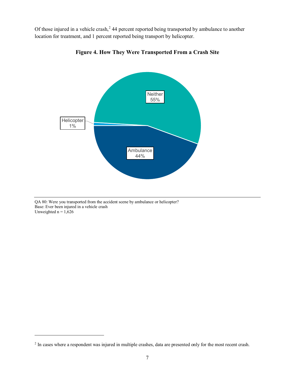<span id="page-12-0"></span>Of those injured in a vehicle crash,<sup>[2](#page-12-1)</sup> 44 percent reported being transported by ambulance to another location for treatment, and 1 percent reported being transport by helicopter.



**Figure 4. How They Were Transported From a Crash Site**

QA 80: Were you transported from the accident scene by ambulance or helicopter? Base: Ever been injured in a vehicle crash Unweighted  $n = 1,626$ 

 $\overline{a}$ 

<span id="page-12-1"></span><sup>&</sup>lt;sup>2</sup> In cases where a respondent was injured in multiple crashes, data are presented only for the most recent crash.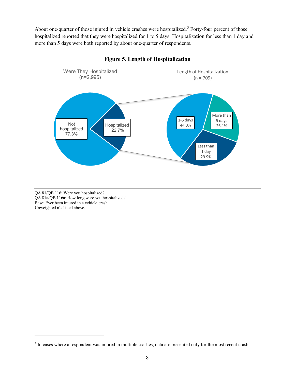About one-quarter of those injured in vehicle crashes were hospitalized.<sup>[3](#page-13-1)</sup> Forty-four percent of those hospitalized reported that they were hospitalized for 1 to 5 days. Hospitalization for less than 1 day and more than 5 days were both reported by about one-quarter of respondents.

<span id="page-13-0"></span>

#### **Figure 5. Length of Hospitalization**

QA 81/QB 116: Were you hospitalized? QA 81a/QB 116a: How long were you hospitalized? Base: Ever been injured in a vehicle crash Unweighted n's listed above.

 $\overline{a}$ 

<span id="page-13-1"></span><sup>&</sup>lt;sup>3</sup> In cases where a respondent was injured in multiple crashes, data are presented only for the most recent crash.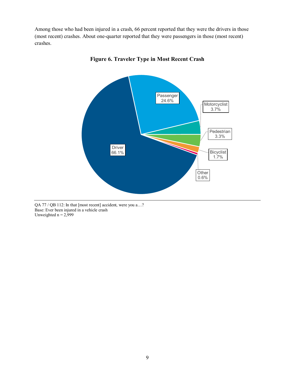<span id="page-14-0"></span>Among those who had been injured in a crash, 66 percent reported that they were the drivers in those (most recent) crashes. About one-quarter reported that they were passengers in those (most recent) crashes.



**Figure 6. Traveler Type in Most Recent Crash**

QA 77 / QB 112: In that [most recent] accident, were you a…? Base: Ever been injured in a vehicle crash Unweighted  $n = 2,999$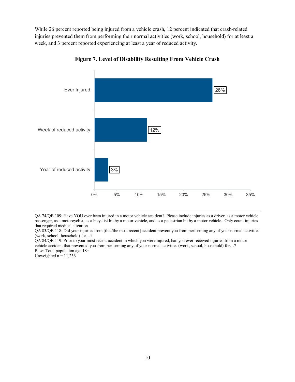While 26 percent reported being injured from a vehicle crash, 12 percent indicated that crash-related injuries prevented them from performing their normal activities (work, school, household) for at least a week, and 3 percent reported experiencing at least a year of reduced activity.

<span id="page-15-0"></span>

**Figure 7. Level of Disability Resulting From Vehicle Crash**

QA 74/QB 109: Have YOU ever been injured in a motor vehicle accident? Please include injuries as a driver, as a motor vehicle passenger, as a motorcyclist, as a bicyclist hit by a motor vehicle, and as a pedestrian hit by a motor vehicle. Only count injuries that required medical attention.

QA 83/QB 118: Did your injuries from [that/the most recent] accident prevent you from performing any of your normal activities (work, school, household) for…?

QA 84/QB 119: Prior to your most recent accident in which you were injured, had you ever received injuries from a motor vehicle accident that prevented you from performing any of your normal activities (work, school, household) for…? Base: Total population age 18+

Unweighted  $n = 11,236$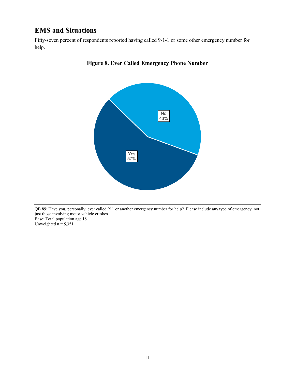## <span id="page-16-0"></span>**EMS and Situations**

<span id="page-16-1"></span>Fifty-seven percent of respondents reported having called 9-1-1 or some other emergency number for help.



#### **Figure 8. Ever Called Emergency Phone Number**

QB 89: Have you, personally, ever called 911 or another emergency number for help? Please include any type of emergency, not just those involving motor vehicle crashes. Base: Total population age 18+ Unweighted  $n = 5,351$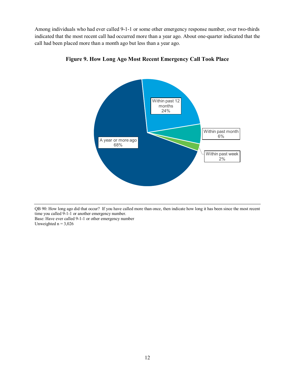<span id="page-17-0"></span>Among individuals who had ever called 9-1-1 or some other emergency response number, over two-thirds indicated that the most recent call had occurred more than a year ago. About one-quarter indicated that the call had been placed more than a month ago but less than a year ago.



**Figure 9. How Long Ago Most Recent Emergency Call Took Place**

QB 90: How long ago did that occur? If you have called more than once, then indicate how long it has been since the most recent time you called 9-1-1 or another emergency number. Base: Have ever called 9-1-1 or other emergency number Unweighted  $n = 3,026$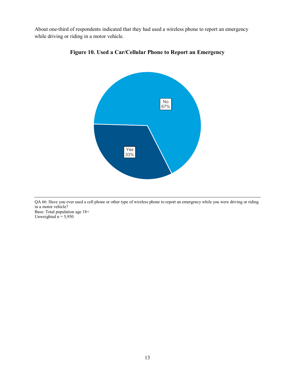<span id="page-18-0"></span>About one-third of respondents indicated that they had used a wireless phone to report an emergency while driving or riding in a motor vehicle.





QA 66: Have you ever used a cell phone or other type of wireless phone to report an emergency while you were driving or riding in a motor vehicle? Base: Total population age 18+ Unweighted  $n = 5,950$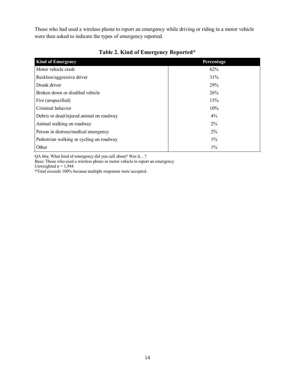Those who had used a wireless phone to report an emergency while driving or riding in a motor vehicle were then asked to indicate the types of emergency reported.

<span id="page-19-0"></span>

| <b>Kind of Emergency</b>                 | Percentage |
|------------------------------------------|------------|
| Motor vehicle crash                      | 62%        |
| Reckless/aggressive driver               | 31%        |
| Drunk driver                             | 29%        |
| Broken down or disabled vehicle          | 26%        |
| Fire (unspecified)                       | 13%        |
| Criminal behavior                        | 10%        |
| Debris or dead/injured animal on roadway | $4\%$      |
| Animal walking on roadway                | $2\%$      |
| Person in distress/medical emergency     | $2\%$      |
| Pedestrian walking or cycling on roadway | $1\%$      |
| Other                                    | $1\%$      |

## **Table 2. Kind of Emergency Reported\***

QA 66a: What kind of emergency did you call about? Was it…?

Base: Those who used a wireless phone in motor vehicle to report an emergency

Unweighted  $n = 1,944$ 

\*Total exceeds 100% because multiple responses were accepted.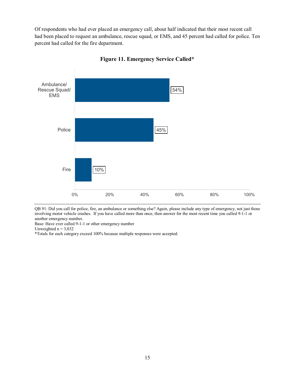Of respondents who had ever placed an emergency call, about half indicated that their most recent call had been placed to request an ambulance, rescue squad, or EMS, and 45 percent had called for police. Ten percent had called for the fire department.

<span id="page-20-0"></span>



QB 91: Did you call for police, fire, an ambulance or something else? Again, please include any type of emergency, not just those involving motor vehicle crashes. If you have called more than once, then answer for the most recent time you called 9-1-1 or another emergency number.

Base: Have ever called 9-1-1 or other emergency number

Unweighted  $n = 3,032$ 

\*Totals for each category exceed 100% because multiple responses were accepted.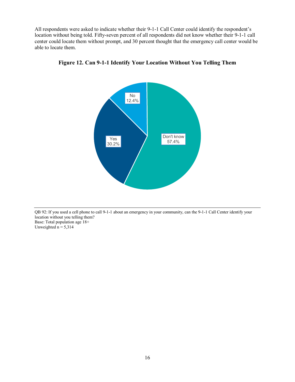<span id="page-21-0"></span>All respondents were asked to indicate whether their 9-1-1 Call Center could identify the respondent's location without being told. Fifty-seven percent of all respondents did not know whether their 9-1-1 call center could locate them without prompt, and 30 percent thought that the emergency call center would be able to locate them.



**Figure 12. Can 9-1-1 Identify Your Location Without You Telling Them**

QB 92: If you used a cell phone to call 9-1-1 about an emergency in your community, can the 9-1-1 Call Center identify your location without you telling them? Base: Total population age 18+ Unweighted  $n = 5,314$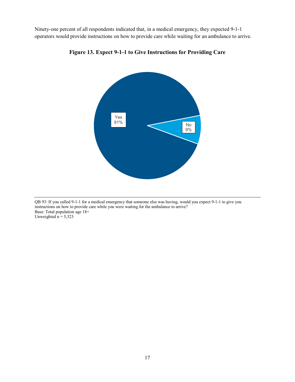<span id="page-22-0"></span>Ninety-one percent of all respondents indicated that, in a medical emergency, they expected 9-1-1 operators would provide instructions on how to provide care while waiting for an ambulance to arrive.



**Figure 13. Expect 9-1-1 to Give Instructions for Providing Care**

QB 93: If you called 9-1-1 for a medical emergency that someone else was having, would you expect 9-1-1 to give you instructions on how to provide care while you were waiting for the ambulance to arrive? Base: Total population age 18+ Unweighted  $n = 5,323$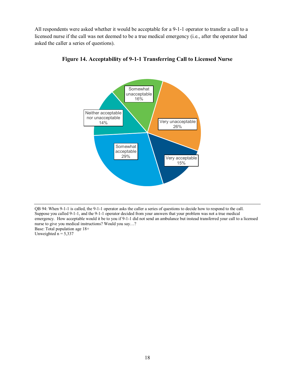<span id="page-23-0"></span>All respondents were asked whether it would be acceptable for a 9-1-1 operator to transfer a call to a licensed nurse if the call was not deemed to be a true medical emergency (i.e., after the operator had asked the caller a series of questions).



**Figure 14. Acceptability of 9-1-1 Transferring Call to Licensed Nurse**

QB 94: When 9-1-1 is called, the 9-1-1 operator asks the caller a series of questions to decide how to respond to the call. Suppose you called 9-1-1, and the 9-1-1 operator decided from your answers that your problem was not a true medical emergency. How acceptable would it be to you if 9-1-1 did not send an ambulance but instead transferred your call to a licensed nurse to give you medical instructions? Would you say…? Base: Total population age 18+ Unweighted  $n = 5,337$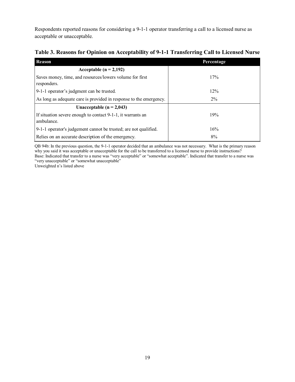Respondents reported reasons for considering a 9-1-1 operator transferring a call to a licensed nurse as acceptable or unacceptable.

<span id="page-24-0"></span>

| Table 3. Reasons for Opinion on Acceptability of 9-1-1 Transferring Call to Licensed Nurse |  |  |
|--------------------------------------------------------------------------------------------|--|--|
|                                                                                            |  |  |

| Reason                                                                    | Percentage |
|---------------------------------------------------------------------------|------------|
| Acceptable ( $n = 2,192$ )                                                |            |
| Saves money, time, and resources/lowers volume for first<br>responders.   | 17%        |
| 9-1-1 operator's judgment can be trusted.                                 | 12%        |
| As long as adequate care is provided in response to the emergency.        | $2\%$      |
| Unacceptable $(n = 2,043)$                                                |            |
| If situation severe enough to contact 9-1-1, it warrants an<br>ambulance. | 19%        |
| 9-1-1 operator's judgement cannot be trusted; are not qualified.          | 16%        |
| Relies on an accurate description of the emergency.                       | 8%         |

QB 94b: In the previous question, the 9-1-1 operator decided that an ambulance was not necessary. What is the primary reason why you said it was acceptable or unacceptable for the call to be transferred to a licensed nurse to provide instructions? Base: Indicated that transfer to a nurse was "very acceptable" or "somewhat acceptable". Indicated that transfer to a nurse was "very unacceptable" or "somewhat unacceptable"

Unweighted n's listed above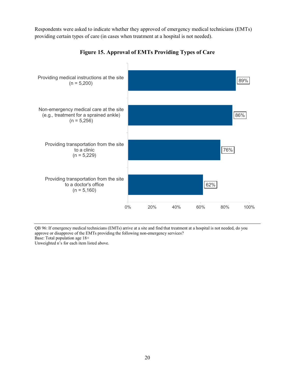Respondents were asked to indicate whether they approved of emergency medical technicians (EMTs) providing certain types of care (in cases when treatment at a hospital is not needed).

<span id="page-25-0"></span>

**Figure 15. Approval of EMTs Providing Types of Care**

QB 96: If emergency medical technicians (EMTs) arrive at a site and find that treatment at a hospital is not needed, do you approve or disapprove of the EMTs providing the following non-emergency services? Base: Total population age 18+

Unweighted n's for each item listed above.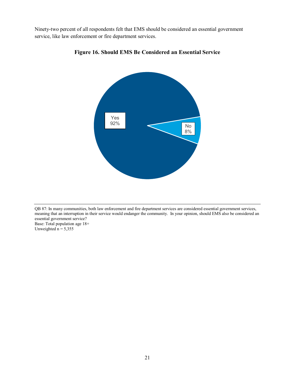<span id="page-26-0"></span>Ninety-two percent of all respondents felt that EMS should be considered an essential government service, like law enforcement or fire department services.





QB 87: In many communities, both law enforcement and fire department services are considered essential government services, meaning that an interruption in their service would endanger the community. In your opinion, should EMS also be considered an essential government service? Base: Total population age 18+ Unweighted  $n = 5,355$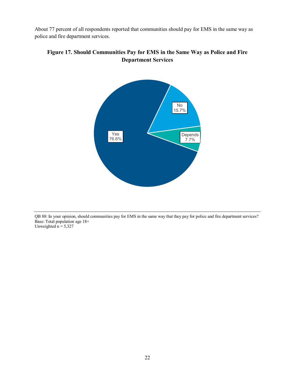About 77 percent of all respondents reported that communities should pay for EMS in the same way as police and fire department services.



## <span id="page-27-0"></span>**Figure 17. Should Communities Pay for EMS in the Same Way as Police and Fire Department Services**

QB 88: In your opinion, should communities pay for EMS in the same way that they pay for police and fire department services? Base: Total population age 18+ Unweighted  $n = 5,327$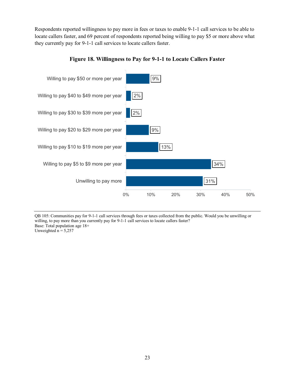Respondents reported willingness to pay more in fees or taxes to enable 9-1-1 call services to be able to locate callers faster, and 69 percent of respondents reported being willing to pay \$5 or more above what they currently pay for 9-1-1 call services to locate callers faster.

<span id="page-28-0"></span>

#### **Figure 18. Willingness to Pay for 9-1-1 to Locate Callers Faster**

QB 105: Communities pay for 9-1-1 call services through fees or taxes collected from the public. Would you be unwilling or willing, to pay more than you currently pay for 9-1-1 call services to locate callers faster? Base: Total population age 18+ Unweighted  $n = 5,257$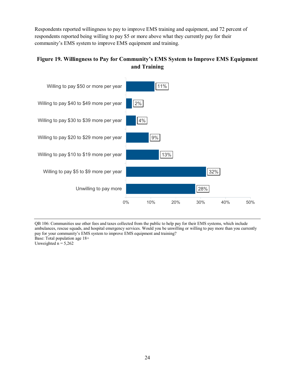Respondents reported willingness to pay to improve EMS training and equipment, and 72 percent of respondents reported being willing to pay \$5 or more above what they currently pay for their community's EMS system to improve EMS equipment and training.

## <span id="page-29-0"></span>**Figure 19. Willingness to Pay for Community's EMS System to Improve EMS Equipment and Training**



QB 106: Communities use other fees and taxes collected from the public to help pay for their EMS systems, which include ambulances, rescue squads, and hospital emergency services. Would you be unwilling or willing to pay more than you currently pay for your community's EMS system to improve EMS equipment and training? Base: Total population age 18+ Unweighted  $n = 5,262$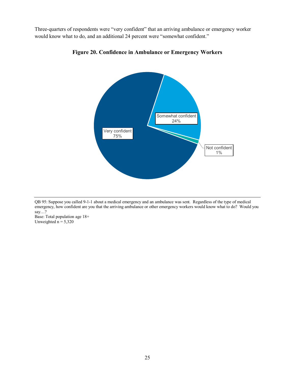<span id="page-30-0"></span>Three-quarters of respondents were "very confident" that an arriving ambulance or emergency worker would know what to do, and an additional 24 percent were "somewhat confident."



#### **Figure 20. Confidence in Ambulance or Emergency Workers**

QB 95: Suppose you called 9-1-1 about a medical emergency and an ambulance was sent. Regardless of the type of medical emergency, how confident are you that the arriving ambulance or other emergency workers would know what to do? Would you say…?

Base: Total population age 18+ Unweighted  $n = 5,320$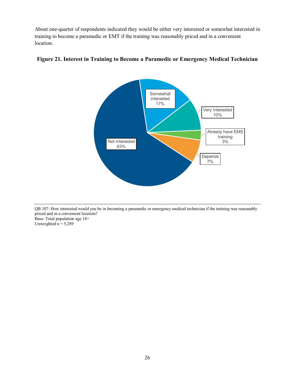About one-quarter of respondents indicated they would be either very interested or somewhat interested in training to become a paramedic or EMT if the training was reasonably priced and in a convenient location.



#### <span id="page-31-0"></span>**Figure 21. Interest in Training to Become a Paramedic or Emergency Medical Technician**

QB 107: How interested would you be in becoming a paramedic or emergency medical technician if the training was reasonably priced and in a convenient location? Base: Total population age 18+ Unweighted  $n = 5,289$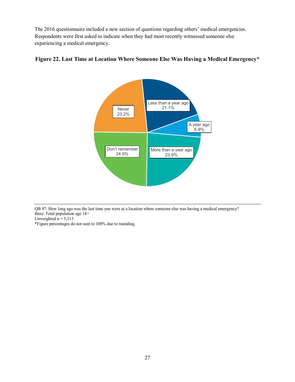The 2016 questionnaire included a new section of questions regarding others' medical emergencies. Respondents were first asked to indicate when they had most recently witnessed someone else experiencing a medical emergency.

## <span id="page-32-0"></span>**Figure 22. Last Time at Location Where Someone Else Was Having a Medical Emergency\***



QB 97: How long ago was the last time you were at a location where someone else was having a medical emergency? Base: Total population age 18+

Unweighted  $n = 5,313$ 

\*Figure percentages do not sum to 100% due to rounding.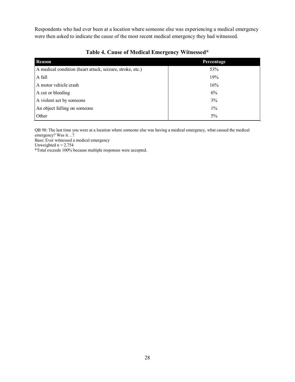Respondents who had ever been at a location where someone else was experiencing a medical emergency were then asked to indicate the cause of the most recent medical emergency they had witnessed.

<span id="page-33-0"></span>

| <b>Reason</b>                                             | Percentage |
|-----------------------------------------------------------|------------|
| A medical condition (heart attack, seizure, stroke, etc.) | 53%        |
| A fall                                                    | 19%        |
| A motor vehicle crash                                     | 16%        |
| A cut or bleeding                                         | 6%         |
| A violent act by someone                                  | 3%         |
| An object falling on someone                              | $1\%$      |
| Other                                                     | $5\%$      |

## **Table 4. Cause of Medical Emergency Witnessed\***

QB 98: The last time you were at a location where someone else was having a medical emergency, what caused the medical emergency? Was it…?

Base: Ever witnessed a medical emergency

Unweighted  $n = 2,754$ 

\*Total exceeds 100% because multiple responses were accepted.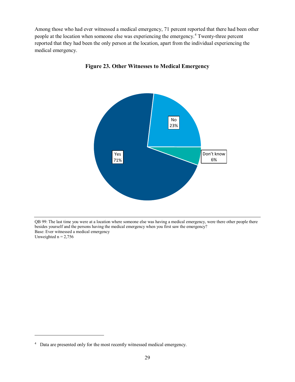<span id="page-34-0"></span>Among those who had ever witnessed a medical emergency, 71 percent reported that there had been other people at the location when someone else was experiencing the emergency.[4](#page-34-1) Twenty-three percent reported that they had been the only person at the location, apart from the individual experiencing the medical emergency.



**Figure 23. Other Witnesses to Medical Emergency**

QB 99: The last time you were at a location where someone else was having a medical emergency, were there other people there besides yourself and the persons having the medical emergency when you first saw the emergency? Base: Ever witnessed a medical emergency Unweighted  $n = 2,756$ 

 $\overline{a}$ 

<span id="page-34-1"></span><sup>&</sup>lt;sup>4</sup> Data are presented only for the most recently witnessed medical emergency.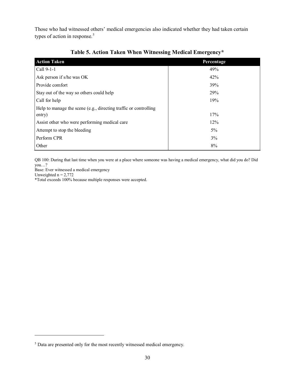Those who had witnessed others' medical emergencies also indicated whether they had taken certain types of action in response.<sup>[5](#page-35-1)</sup>

<span id="page-35-0"></span>

| <b>Action Taken</b>                                              | Percentage |
|------------------------------------------------------------------|------------|
| Call 9-1-1                                                       | 49%        |
| Ask person if s/he was OK                                        | 42%        |
| Provide comfort                                                  | 39%        |
| Stay out of the way so others could help                         | 29%        |
| Call for help                                                    | 19%        |
| Help to manage the scene (e.g., directing traffic or controlling |            |
| entry)                                                           | 17%        |
| Assist other who were performing medical care                    | 12%        |
| Attempt to stop the bleeding                                     | $5\%$      |
| Perform CPR                                                      | 3%         |
| Other                                                            | 8%         |

## **Table 5. Action Taken When Witnessing Medical Emergency\***

QB 100: During that last time when you were at a place where someone was having a medical emergency, what did you do? Did  $you...?$ 

Base: Ever witnessed a medical emergency

Unweighted  $n = 2,772$ 

 $\overline{a}$ 

\*Total exceeds 100% because multiple responses were accepted.

<span id="page-35-1"></span><sup>5</sup> Data are presented only for the most recently witnessed medical emergency.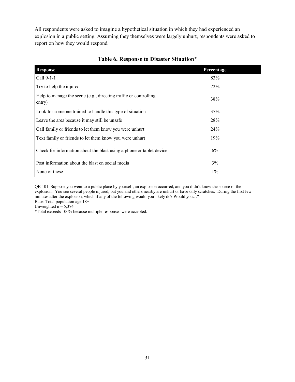All respondents were asked to imagine a hypothetical situation in which they had experienced an explosion in a public setting. Assuming they themselves were largely unhurt, respondents were asked to report on how they would respond.

| <b>Response</b>                                                            | Percentage |
|----------------------------------------------------------------------------|------------|
| Call 9-1-1                                                                 | 83%        |
| Try to help the injured                                                    | 72%        |
| Help to manage the scene (e.g., directing traffic or controlling<br>entry) | 38%        |
| Look for someone trained to handle this type of situation                  | 37%        |
| Leave the area because it may still be unsafe                              | 28%        |
| Call family or friends to let them know you were unhurt                    | <b>24%</b> |
| Text family or friends to let them know you were unhurt                    | 19%        |
| Check for information about the blast using a phone or tablet device       | 6%         |
| Post information about the blast on social media                           | 3%         |
| None of these                                                              | $1\%$      |

### **Table 6. Response to Disaster Situation\***

QB 101: Suppose you went to a public place by yourself, an explosion occurred, and you didn't know the source of the explosion. You see several people injured, but you and others nearby are unhurt or have only scratches. During the first few minutes after the explosion, which if any of the following would you likely do? Would you...? Base: Total population age 18+

Unweighted  $n = 5,374$ 

\*Total exceeds 100% because multiple responses were accepted.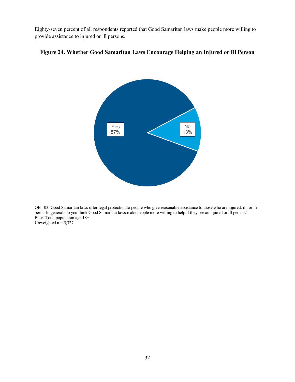Eighty-seven percent of all respondents reported that Good Samaritan laws make people more willing to provide assistance to injured or ill persons.



### **Figure 24. Whether Good Samaritan Laws Encourage Helping an Injured or Ill Person**

QB 103: Good Samaritan laws offer legal protection to people who give reasonable assistance to those who are injured, ill, or in peril. In general, do you think Good Samaritan laws make people more willing to help if they see an injured or ill person? Base: Total population age 18+ Unweighted  $n = 5,327$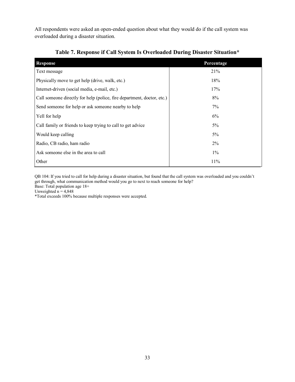All respondents were asked an open-ended question about what they would do if the call system was overloaded during a disaster situation.

| <b>Response</b>                                                        | Percentage |
|------------------------------------------------------------------------|------------|
| Text message                                                           | 21%        |
| Physically move to get help (drive, walk, etc.)                        | 18%        |
| Internet-driven (social media, e-mail, etc.)                           | 17%        |
| Call someone directly for help (police, fire department, doctor, etc.) | 8%         |
| Send someone for help or ask someone nearby to help                    | 7%         |
| Yell for help                                                          | 6%         |
| Call family or friends to keep trying to call to get advice            | $5\%$      |
| Would keep calling                                                     | $5\%$      |
| Radio, CB radio, ham radio                                             | 2%         |
| Ask someone else in the area to call                                   | $1\%$      |
| Other                                                                  | 11%        |

### **Table 7. Response if Call System Is Overloaded During Disaster Situation\***

QB 104: If you tried to call for help during a disaster situation, but found that the call system was overloaded and you couldn't get through, what communication method would you go to next to reach someone for help?

Base: Total population age 18+

Unweighted  $n = 4,848$ 

\*Total exceeds 100% because multiple responses were accepted.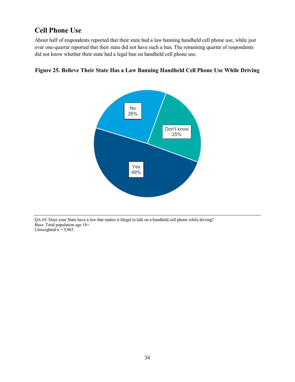# **Cell Phone Use**

About half of respondents reported that their state had a law banning handheld cell phone use, while just over one-quarter reported that their state did not have such a ban. The remaining quarter of respondents did not know whether their state had a legal ban on handheld cell phone use.



### **Figure 25. Believe Their State Has a Law Banning Handheld Cell Phone Use While Driving**

QA 65: Does your State have a law that makes it illegal to talk on a handheld cell phone while driving? Base: Total population age 18+ Unweighted  $n = 5,963$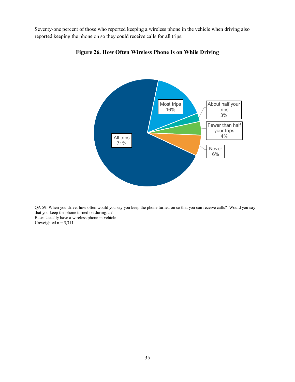Seventy-one percent of those who reported keeping a wireless phone in the vehicle when driving also reported keeping the phone on so they could receive calls for all trips.



**Figure 26. How Often Wireless Phone Is on While Driving**

QA 59: When you drive, how often would you say you keep the phone turned on so that you can receive calls? Would you say that you keep the phone turned on during…? Base: Usually have a wireless phone in vehicle

Unweighted  $n = 5,311$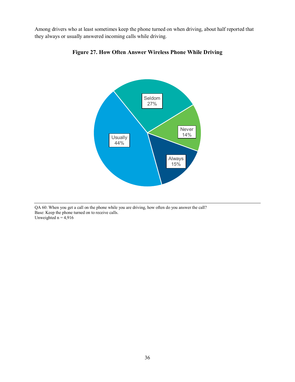Among drivers who at least sometimes keep the phone turned on when driving, about half reported that they always or usually answered incoming calls while driving.



**Figure 27. How Often Answer Wireless Phone While Driving**

QA 60: When you get a call on the phone while you are driving, how often do you answer the call? Base: Keep the phone turned on to receive calls. Unweighted  $n = 4.916$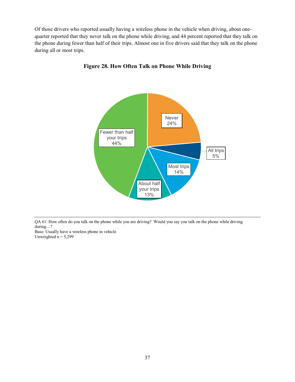Of those drivers who reported usually having a wireless phone in the vehicle when driving, about onequarter reported that they never talk on the phone while driving, and 44 percent reported that they talk on the phone during fewer than half of their trips. Almost one in five drivers said that they talk on the phone during all or most trips.



**Figure 28. How Often Talk on Phone While Driving**

QA 61: How often do you talk on the phone while you are driving? Would you say you talk on the phone while driving during…?

Base: Usually have a wireless phone in vehicle Unweighted  $n = 5,299$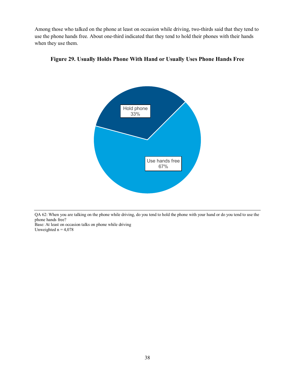Among those who talked on the phone at least on occasion while driving, two-thirds said that they tend to use the phone hands free. About one-third indicated that they tend to hold their phones with their hands when they use them.



**Figure 29. Usually Holds Phone With Hand or Usually Uses Phone Hands Free** 

QA 62: When you are talking on the phone while driving, do you tend to hold the phone with your hand or do you tend to use the phone hands free?

Base: At least on occasion talks on phone while driving Unweighted  $n = 4,078$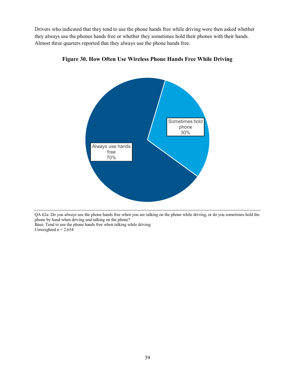Drivers who indicated that they tend to use the phone hands free while driving were then asked whether they always use the phones hands free or whether they sometimes hold their phones with their hands. Almost three quarters reported that they always use the phone hands free.



### **Figure 30. How Often Use Wireless Phone Hands Free While Driving**

QA 62a: Do you always use the phone hands free when you are talking on the phone while driving, or do you sometimes hold the phone by hand when driving and talking on the phone?

Base: Tend to use the phone hands free when talking while driving Unweighted  $n = 2,654$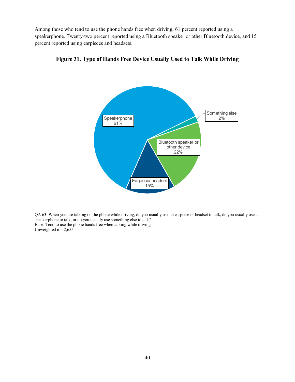Among those who tend to use the phone hands free when driving, 61 percent reported using a speakerphone. Twenty-two percent reported using a Bluetooth speaker or other Bluetooth device, and 15 percent reported using earpieces and headsets.





QA 63: When you are talking on the phone while driving, do you usually use an earpiece or headset to talk, do you usually use a speakerphone to talk, or do you usually use something else to talk? Base: Tend to use the phone hands free when talking while driving Unweighted  $n = 2,655$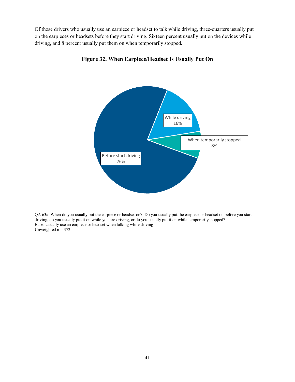Of those drivers who usually use an earpiece or headset to talk while driving, three-quarters usually put on the earpieces or headsets before they start driving. Sixteen percent usually put on the devices while driving, and 8 percent usually put them on when temporarily stopped.



**Figure 32. When Earpiece/Headset Is Usually Put On** 

QA 63a: When do you usually put the earpiece or headset on? Do you usually put the earpiece or headset on before you start driving, do you usually put it on while you are driving, or do you usually put it on while temporarily stopped? Base: Usually use an earpiece or headset when talking while driving Unweighted  $n = 372$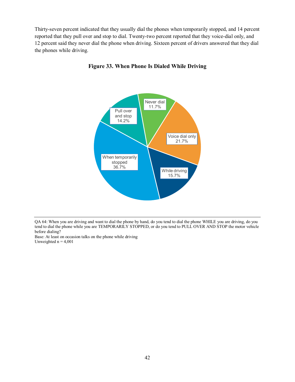Thirty-seven percent indicated that they usually dial the phones when temporarily stopped, and 14 percent reported that they pull over and stop to dial. Twenty-two percent reported that they voice-dial only, and 12 percent said they never dial the phone when driving. Sixteen percent of drivers answered that they dial the phones while driving.



#### **Figure 33. When Phone Is Dialed While Driving**

Base: At least on occasion talks on the phone while driving Unweighted  $n = 4,001$ 

QA 64: When you are driving and want to dial the phone by hand, do you tend to dial the phone WHILE you are driving, do you tend to dial the phone while you are TEMPORARILY STOPPED, or do you tend to PULL OVER AND STOP the motor vehicle before dialing?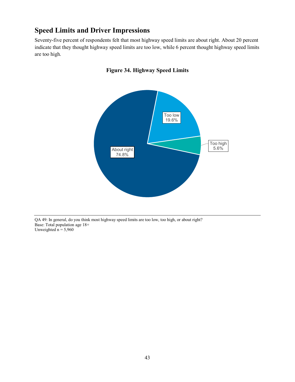# **Speed Limits and Driver Impressions**

Seventy-five percent of respondents felt that most highway speed limits are about right. About 20 percent indicate that they thought highway speed limits are too low, while 6 percent thought highway speed limits are too high.





QA 49: In general, do you think most highway speed limits are too low, too high, or about right? Base: Total population age 18+ Unweighted  $n = 5,960$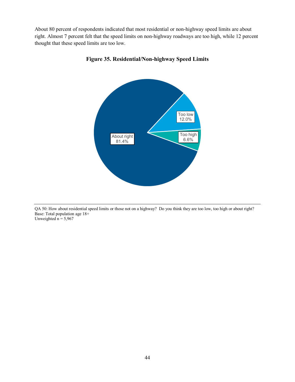About 80 percent of respondents indicated that most residential or non-highway speed limits are about right. Almost 7 percent felt that the speed limits on non-highway roadways are too high, while 12 percent thought that these speed limits are too low.



**Figure 35. Residential/Non-highway Speed Limits**

QA 50: How about residential speed limits or those not on a highway? Do you think they are too low, too high or about right? Base: Total population age 18+ Unweighted  $n = 5,967$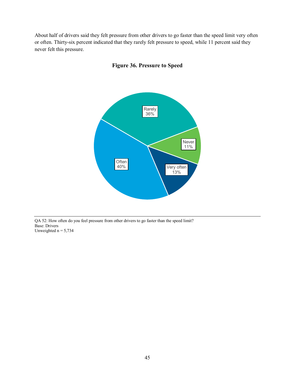About half of drivers said they felt pressure from other drivers to go faster than the speed limit very often or often. Thirty-six percent indicated that they rarely felt pressure to speed, while 11 percent said they never felt this pressure.





QA 52: How often do you feel pressure from other drivers to go faster than the speed limit? Base: Drivers Unweighted  $n = 5,734$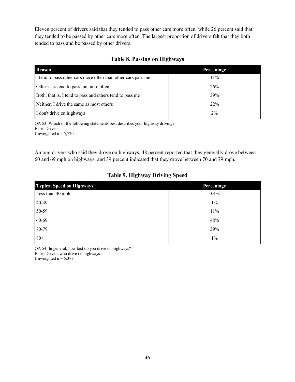Eleven percent of drivers said that they tended to pass other cars more often, while 26 percent said that they tended to be passed by other cars more often. The largest proportion of drivers felt that they both tended to pass and be passed by other drivers.

### **Table 8. Passing on Highways**

| <b>Reason</b>                                                | Percentage |  |
|--------------------------------------------------------------|------------|--|
| I tend to pass other cars more often than other cars pass me | 11%        |  |
| Other cars tend to pass me more often                        | 26%        |  |
| Both, that is, I tend to pass and others tend to pass me     | 39%        |  |
| Neither, I drive the same as most others                     | 22%        |  |
| I don't drive on highways                                    | $2\%$      |  |

QA 53: Which of the following statements best describes your highway driving? Base: Drivers

Unweighted  $n = 5,720$ 

Among drivers who said they drove on highways, 48 percent reported that they generally drove between 60 and 69 mph on highways, and 39 percent indicated that they drove between 70 and 79 mph.

| <b>Typical Speed on Highways</b> | Percentage |  |
|----------------------------------|------------|--|
| Less than 40 mph                 | 0.4%       |  |
| 40-49                            | $1\%$      |  |
| 50-59                            | 11%        |  |
| 60-69                            | 48%        |  |
| 70-79                            | 39%        |  |
| $80+$                            | $1\%$      |  |

## **Table 9. Highway Driving Speed**

QA 54: In general, how fast do you drive on highways? Base: Drivers who drive on highways Unweighted  $n = 5,378$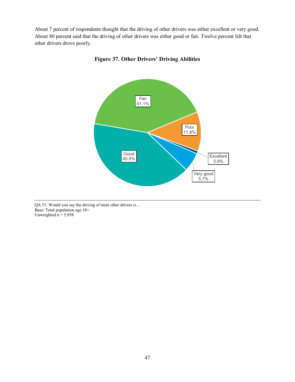About 7 percent of respondents thought that the driving of other drivers was either excellent or very good. About 80 percent said that the driving of other drivers was either good or fair. Twelve percent felt that other drivers drove poorly.



**Figure 37. Other Drivers' Driving Abilities**

QA 51: Would you say the driving of most other drivers is… Base: Total population age 18+ Unweighted  $n = 5,958$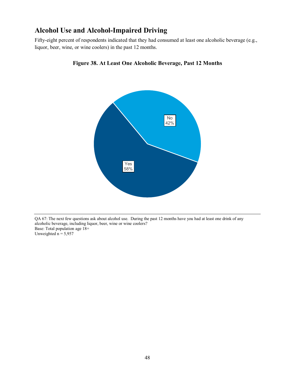# **Alcohol Use and Alcohol-Impaired Driving**

Fifty-eight percent of respondents indicated that they had consumed at least one alcoholic beverage (e.g., liquor, beer, wine, or wine coolers) in the past 12 months.



### **Figure 38. At Least One Alcoholic Beverage, Past 12 Months**

QA 67: The next few questions ask about alcohol use. During the past 12 months have you had at least one drink of any alcoholic beverage, including liquor, beer, wine or wine coolers? Base: Total population age 18+ Unweighted  $n = 5,957$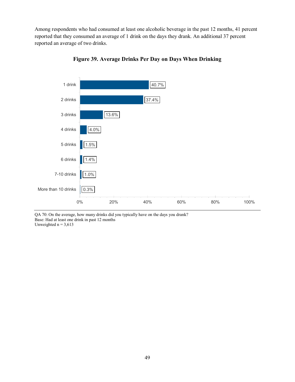Among respondents who had consumed at least one alcoholic beverage in the past 12 months, 41 percent reported that they consumed an average of 1 drink on the days they drank. An additional 37 percent reported an average of two drinks.





QA 70: On the average, how many drinks did you typically have on the days you drank? Base: Had at least one drink in past 12 months Unweighted  $n = 3,613$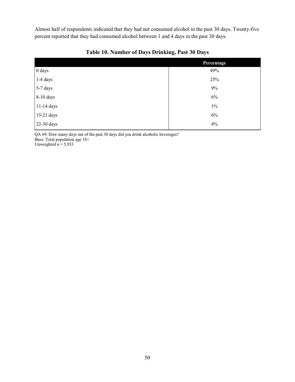Almost half of respondents indicated that they had not consumed alcohol in the past 30 days. Twenty-five percent reported that they had consumed alcohol between 1 and 4 days in the past 30 days.

|            | Percentage |  |
|------------|------------|--|
| 0 days     | 49%        |  |
| $1-4$ days | 25%        |  |
| 5-7 days   | 9%         |  |
| 8-10 days  | $6\%$      |  |
| 11-14 days | $1\%$      |  |
| 15-21 days | $6\%$      |  |
| 22-30 days | 4%         |  |

**Table 10. Number of Days Drinking, Past 30 Days**

QA 69: How many days out of the past 30 days did you drink alcoholic beverages? Base: Total population age 18+

Unweighted  $n = 5,933$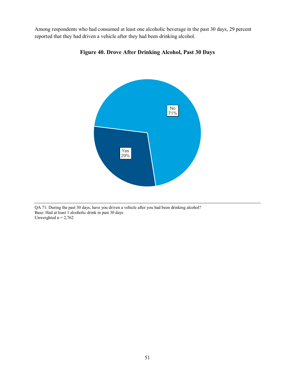Among respondents who had consumed at least one alcoholic beverage in the past 30 days, 29 percent reported that they had driven a vehicle after they had been drinking alcohol.



**Figure 40. Drove After Drinking Alcohol, Past 30 Days**

QA 71: During the past 30 days, have you driven a vehicle after you had been drinking alcohol? Base: Had at least 1 alcoholic drink in past 30 days Unweighted  $n = 2,762$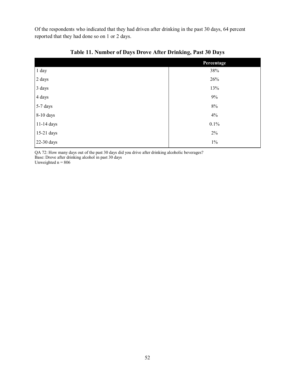Of the respondents who indicated that they had driven after drinking in the past 30 days, 64 percent reported that they had done so on 1 or 2 days.

|            | Percentage |
|------------|------------|
| 1 day      | 38%        |
| 2 days     | 26%        |
| 3 days     | 13%        |
| 4 days     | $9\%$      |
| 5-7 days   | $8\%$      |
| 8-10 days  | 4%         |
| 11-14 days | 0.1%       |
| 15-21 days | $2\%$      |
| 22-30 days | $1\%$      |

**Table 11. Number of Days Drove After Drinking, Past 30 Days**

QA 72: How many days out of the past 30 days did you drive after drinking alcoholic beverages? Base: Drove after drinking alcohol in past 30 days

Unweighted  $n = 806$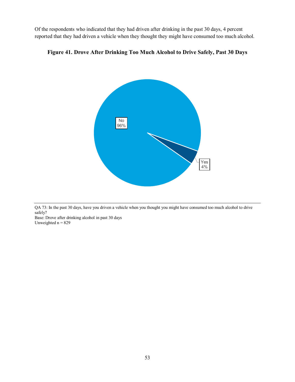Of the respondents who indicated that they had driven after drinking in the past 30 days, 4 percent reported that they had driven a vehicle when they thought they might have consumed too much alcohol.





QA 73: In the past 30 days, have you driven a vehicle when you thought you might have consumed too much alcohol to drive safely?

Base: Drove after drinking alcohol in past 30 days Unweighted  $n = 829$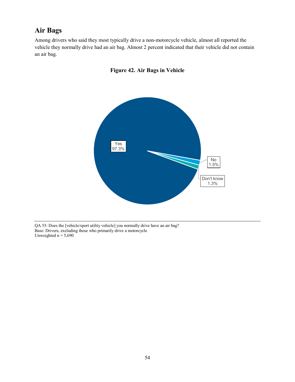# **Air Bags**

Among drivers who said they most typically drive a non-motorcycle vehicle, almost all reported the vehicle they normally drive had an air bag. Almost 2 percent indicated that their vehicle did not contain an air bag.





QA 55: Does the [vehicle/sport utility vehicle] you normally drive have an air bag? Base: Drivers, excluding those who primarily drive a motorcycle Unweighted  $n = 5,690$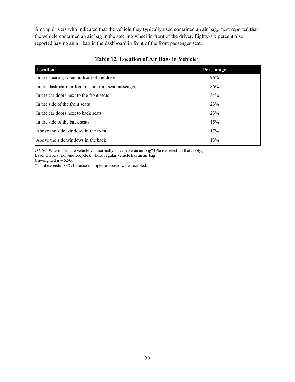Among drivers who indicated that the vehicle they typically used contained an air bag, most reported that the vehicle contained an air bag in the steering wheel in front of the driver. Eighty-six percent also reported having an air bag in the dashboard in front of the front passenger seat.

| Location                                              | Percentage |
|-------------------------------------------------------|------------|
| In the steering wheel in front of the driver          | 96%        |
| In the dashboard in front of the front seat passenger | 86%        |
| In the car doors next to the front seats              | 34%        |
| In the side of the front seats                        | 23%        |
| In the car doors next to back seats                   | 23%        |
| In the side of the back seats                         | 15%        |
| Above the side windows in the front                   | 17%        |
| Above the side windows in the back                    | 13%        |

#### **Table 12. Location of Air Bags in Vehicle\***

QA 56: Where does the vehicle you normally drive have an air bag? (Please select all that apply.)

Base: Drivers (non-motorcycle), whose regular vehicle has an air bag

Unweighted  $n = 5,506$ 

\*Total exceeds 100% because multiple responses were accepted.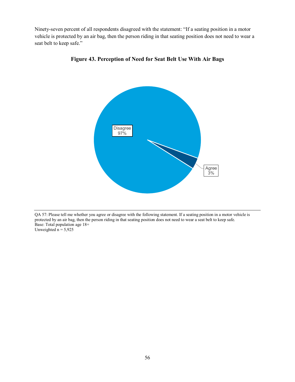Ninety-seven percent of all respondents disagreed with the statement: "If a seating position in a motor vehicle is protected by an air bag, then the person riding in that seating position does not need to wear a seat belt to keep safe."



**Figure 43. Perception of Need for Seat Belt Use With Air Bags** 

QA 57: Please tell me whether you agree or disagree with the following statement. If a seating position in a motor vehicle is protected by an air bag, then the person riding in that seating position does not need to wear a seat belt to keep safe. Base: Total population age 18+ Unweighted  $n = 5,925$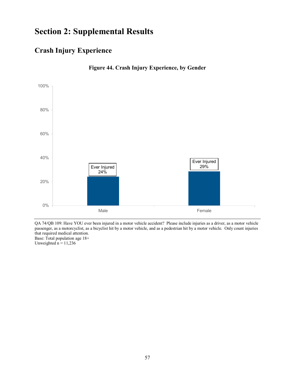# **Section 2: Supplemental Results**

# **Crash Injury Experience**



**Figure 44. Crash Injury Experience, by Gender** 

QA 74/QB 109: Have YOU ever been injured in a motor vehicle accident? Please include injuries as a driver, as a motor vehicle passenger, as a motorcyclist, as a bicyclist hit by a motor vehicle, and as a pedestrian hit by a motor vehicle. Only count injuries that required medical attention. Base: Total population age 18+ Unweighted  $n = 11,236$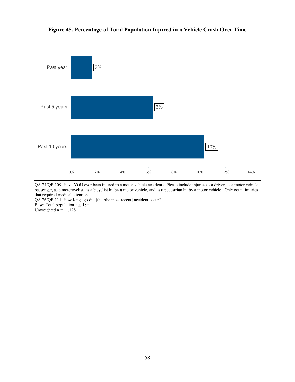**Figure 45. Percentage of Total Population Injured in a Vehicle Crash Over Time**



QA 74/QB 109: Have YOU ever been injured in a motor vehicle accident? Please include injuries as a driver, as a motor vehicle passenger, as a motorcyclist, as a bicyclist hit by a motor vehicle, and as a pedestrian hit by a motor vehicle. Only count injuries that required medical attention.

QA 76/QB 111: How long ago did [that/the most recent] accident occur?

Base: Total population age 18+

Unweighted  $n = 11,128$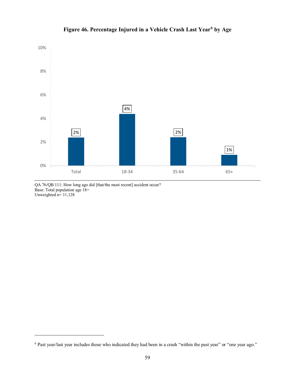

# **Figure 46. Percentage Injured in a Vehicle Crash Last Year[6](#page-64-0) by Age**

QA 76/QB 111: How long ago did [that/the most recent] accident occur? Base: Total population age 18+ Unweighted  $n=11,128$ 

 $\overline{a}$ 

<span id="page-64-0"></span><sup>6</sup> Past year/last year includes those who indicated they had been in a crash "within the past year" or "one year ago."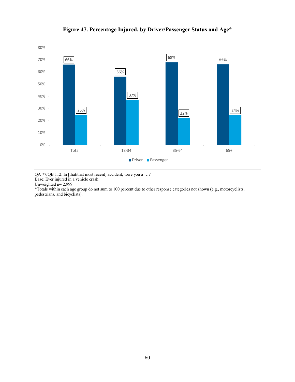

**Figure 47. Percentage Injured, by Driver/Passenger Status and Age\***

QA 77/QB 112: In [that/that most recent] accident, were you a …? Base: Ever injured in a vehicle crash

Unweighted  $n=2,999$ 

\*Totals within each age group do not sum to 100 percent due to other response categories not shown (e.g., motorcyclists, pedestrians, and bicyclists).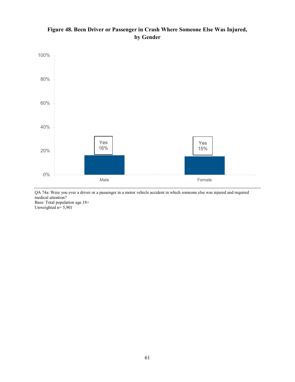### **Figure 48. Been Driver or Passenger in Crash Where Someone Else Was Injured, by Gender**



QA 74a: Were you ever a driver or a passenger in a motor vehicle accident in which someone else was injured and required medical attention? Base: Total population age 18+ Unweighted  $n=$  5,901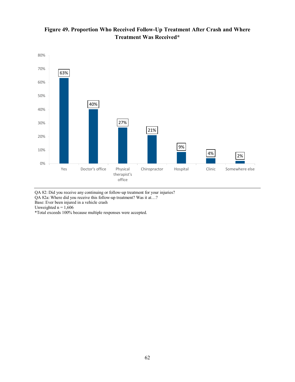

### **Figure 49. Proportion Who Received Follow-Up Treatment After Crash and Where Treatment Was Received\***

QA 82: Did you receive any continuing or follow-up treatment for your injuries?

QA 82a: Where did you receive this follow-up treatment? Was it at…?

Base: Ever been injured in a vehicle crash

Unweighted  $n = 1,606$ 

\*Total exceeds 100% because multiple responses were accepted.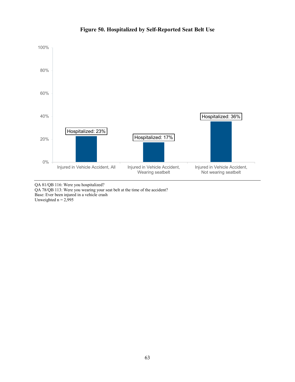

### **Figure 50. Hospitalized by Self-Reported Seat Belt Use**

QA 81/QB 116: Were you hospitalized? QA 78/QB 113: Were you wearing your seat belt at the time of the accident? Base: Ever been injured in a vehicle crash Unweighted  $n = 2,995$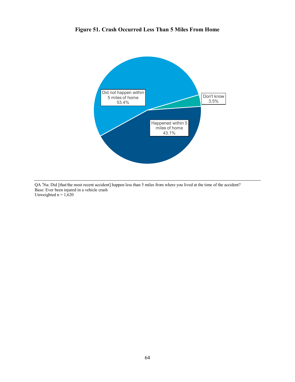

### **Figure 51. Crash Occurred Less Than 5 Miles From Home**

QA 76a: Did [that/the most recent accident] happen less than 5 miles from where you lived at the time of the accident? Base: Ever been injured in a vehicle crash Unweighted  $n = 1,620$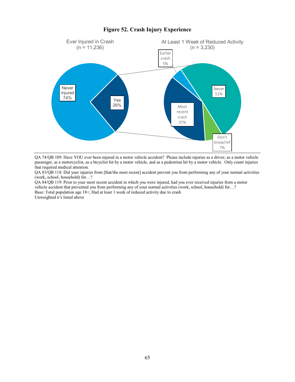#### **Figure 52. Crash Injury Experience**



QA 74/QB 109: Have YOU ever been injured in a motor vehicle accident? Please include injuries as a driver, as a motor vehicle passenger, as a motorcyclist, as a bicyclist hit by a motor vehicle, and as a pedestrian hit by a motor vehicle. Only count injuries that required medical attention.

QA 83/QB 118: Did your injuries from [that/the most recent] accident prevent you from performing any of your normal activities (work, school, household) for…?

QA 84/QB 119: Prior to your most recent accident in which you were injured, had you ever received injuries from a motor vehicle accident that prevented you from performing any of your normal activities (work, school, household) for…? Base: Total population age 18+; Had at least 1 week of reduced activity due to crash Unweighted n's listed above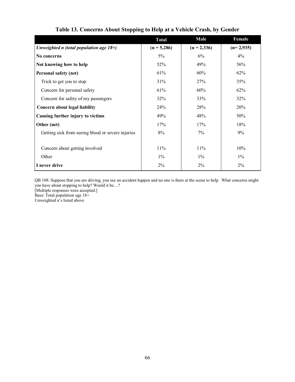|                                                   | <b>Total</b>  | Male          | Female      |
|---------------------------------------------------|---------------|---------------|-------------|
| Unweighted n (total population age $18+$ )        | $(n = 5,286)$ | $(n = 2,336)$ | $(n=2,935)$ |
| No concerns                                       | 5%            | 6%            | 4%          |
| Not knowing how to help                           | 52%           | 49%           | 56%         |
| Personal safety (net)                             | 61%           | 60%           | 62%         |
| Trick to get you to stop                          | 31%           | 27%           | 35%         |
| Concern for personal safety                       | 61%           | 60%           | 62%         |
| Concern for safety of my passengers               | 32%           | 33%           | 32%         |
| Concern about legal liability                     | 24%           | 28%           | 20%         |
| Causing further injury to victims                 | 49%           | 48%           | 50%         |
| Other (net)                                       | 17%           | 17%           | 18%         |
| Getting sick from seeing blood or severe injuries | 8%            | $7\%$         | 9%          |
|                                                   |               |               |             |
| Concern about getting involved                    | 11%           | 11%           | 10%         |
| Other                                             | $1\%$         | $1\%$         | $1\%$       |
| I never drive                                     | $2\%$         | $2\%$         | 2%          |

**Table 13. Concerns About Stopping to Help at a Vehicle Crash, by Gender**

QB 108: Suppose that you are driving, you see an accident happen and no one is there at the scene to help. What concerns might you have about stopping to help? Would it be…?

[Multiple responses were accepted.]

Base: Total population age 18+

Unweighted n's listed above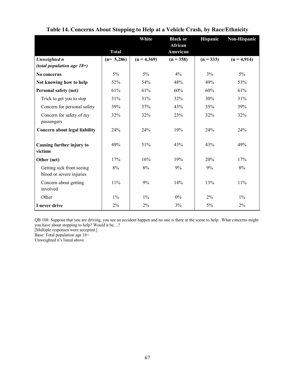|                                                      | <b>Total</b> | White         | <b>Black or</b><br>African<br>American | <b>Hispanic</b> | Non-Hispanic  |
|------------------------------------------------------|--------------|---------------|----------------------------------------|-----------------|---------------|
| Unweighted n                                         | $(n= 5,286)$ | $(n = 4,369)$ | $(n = 358)$                            | $(n = 333)$     | $(n = 4.914)$ |
| (total population age $18+$ )                        |              |               |                                        |                 |               |
| No concerns                                          | $5\%$        | $5\%$         | 4%                                     | 3%              | $5\%$         |
| Not knowing how to help                              | 52%          | 54%           | 48%                                    | 49%             | 53%           |
| Personal safety (net)                                | 61%          | 61%           | 60%                                    | 60%             | 61%           |
| Trick to get you to stop                             | 31%          | 31%           | 32%                                    | 30%             | 31%           |
| Concern for personal safety                          | 39%          | 37%           | 43%                                    | 35%             | 39%           |
| Concern for safety of my<br>passengers               | 32%          | 32%           | 23%                                    | 32%             | 32%           |
| Concern about legal liability                        | 24%          | 24%           | 19%                                    | 24%             | 24%           |
| Causing further injury to<br>victims                 | 49%          | 51%           | 43%                                    | 43%             | 49%           |
| Other (net)                                          | 17%          | 16%           | 19%                                    | 20%             | 17%           |
| Getting sick from seeing<br>blood or severe injuries | 8%           | 8%            | 9%                                     | 9%              | 8%            |
| Concern about getting<br>involved                    | $11\%$       | 9%            | 14%                                    | 13%             | 11%           |
| Other                                                | $1\%$        | $1\%$         | $0\%$                                  | $2\%$           | $1\%$         |
| I never drive                                        | 2%           | 2%            | 3%                                     | 5%              | 2%            |

## **Table 14. Concerns About Stopping to Help at a Vehicle Crash, by Race/Ethnicity**

QB 108: Suppose that you are driving, you see an accident happen and no one is there at the scene to help. What concerns might you have about stopping to help? Would it be…?

[Multiple responses were accepted.]

Base: Total population age 18+

Unweighted n's listed above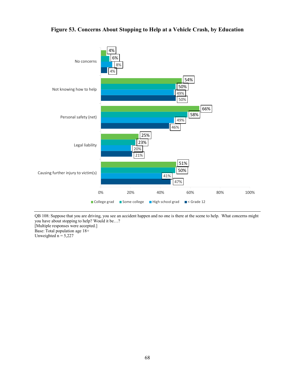

## **Figure 53. Concerns About Stopping to Help at a Vehicle Crash, by Education**

QB 108: Suppose that you are driving, you see an accident happen and no one is there at the scene to help. What concerns might you have about stopping to help? Would it be…? [Multiple responses were accepted.]

Base: Total population age 18+ Unweighted  $n = 5,227$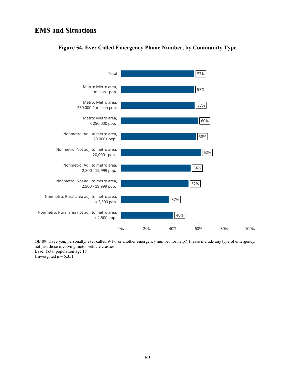## **EMS and Situations**



## **Figure 54. Ever Called Emergency Phone Number, by Community Type**

QB 89: Have you, personally, ever called 9-1-1 or another emergency number for help? Please include any type of emergency, not just those involving motor vehicle crashes. Base: Total population age 18+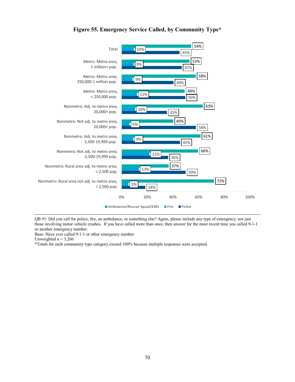

**Figure 55. Emergency Service Called, by Community Type\***

QB 91: Did you call for police, fire, an ambulance, or something else? Again, please include any type of emergency, not just those involving motor vehicle crashes. If you have called more than once, then answer for the most recent time you called 9-1-1 or another emergency number.

Base: Have ever called 9-1-1 or other emergency number

Unweighted  $n = 3,266$ 

\*Totals for each community type category exceed 100% because multiple responses were accepted.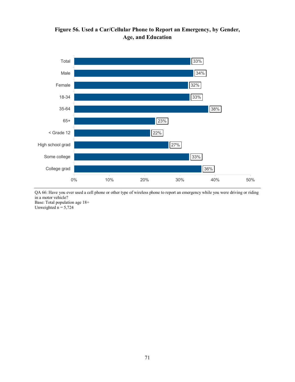



QA 66: Have you ever used a cell phone or other type of wireless phone to report an emergency while you were driving or riding in a motor vehicle?

Base: Total population age 18+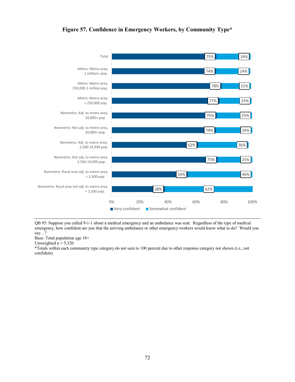



QB 95: Suppose you called 9-1-1 about a medical emergency and an ambulance was sent. Regardless of the type of medical emergency, how confident are you that the arriving ambulance or other emergency workers would know what to do? Would you say…?

Base: Total population age 18+

Unweighted  $n = 5,320$ 

\*Totals within each community type category do not sum to 100 percent due to other response category not shown (i.e., not confident).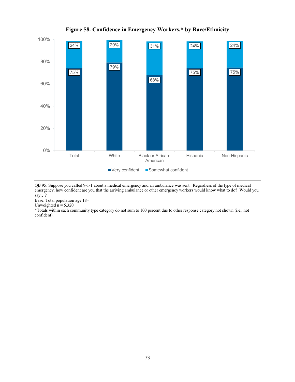

## **Figure 58. Confidence in Emergency Workers,\* by Race/Ethnicity**

QB 95: Suppose you called 9-1-1 about a medical emergency and an ambulance was sent. Regardless of the type of medical emergency, how confident are you that the arriving ambulance or other emergency workers would know what to do? Would you say…?

Base: Total population age 18+

Unweighted  $n = 5,320$ 

\*Totals within each community type category do not sum to 100 percent due to other response category not shown (i.e., not confident).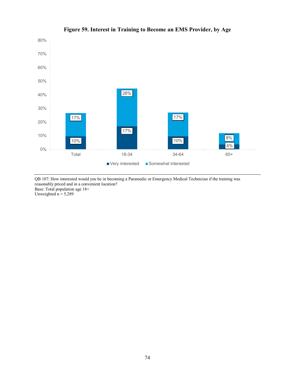

## **Figure 59. Interest in Training to Become an EMS Provider, by Age**

QB 107: How interested would you be in becoming a Paramedic or Emergency Medical Technician if the training was reasonably priced and in a convenient location? Base: Total population age 18+ Unweighted  $n = 5,289$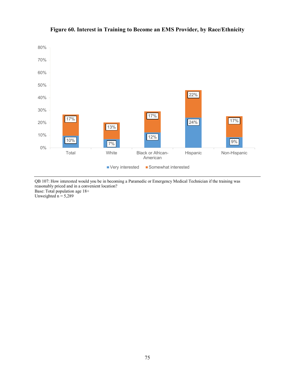

## **Figure 60. Interest in Training to Become an EMS Provider, by Race/Ethnicity**

QB 107: How interested would you be in becoming a Paramedic or Emergency Medical Technician if the training was reasonably priced and in a convenient location? Base: Total population age 18+ Unweighted  $n = 5,289$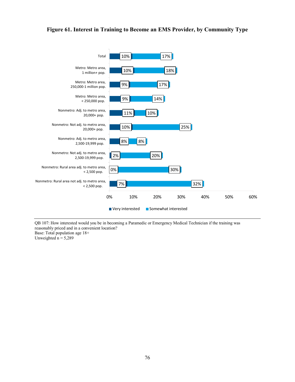## **Figure 61. Interest in Training to Become an EMS Provider, by Community Type**



QB 107: How interested would you be in becoming a Paramedic or Emergency Medical Technician if the training was reasonably priced and in a convenient location?

Base: Total population age 18+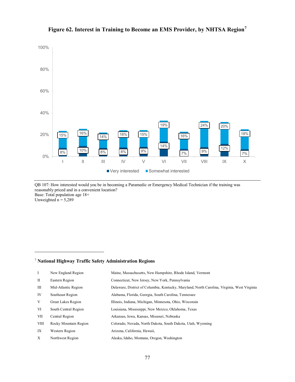

## **Figure 62. Interest in Training to Become an EMS Provider, by NHTSA Region[7](#page-82-0)**

QB 107: How interested would you be in becoming a Paramedic or Emergency Medical Technician if the training was reasonably priced and in a convenient location? Base: Total population age 18+ Unweighted  $n = 5,289$ 

#### <span id="page-82-0"></span><sup>7</sup> **National Highway Traffic Safety Administration Regions**

 $\ddot{\phantom{a}}$ 

| $\mathbf{I}$ | New England Region    | Maine, Massachusetts, New Hampshire, Rhode Island, Vermont                                  |
|--------------|-----------------------|---------------------------------------------------------------------------------------------|
| П            | Eastern Region        | Connecticut, New Jersey, New York, Pennsylvania                                             |
| Ш            | Mid-Atlantic Region   | Delaware, District of Columbia, Kentucky, Maryland, North Carolina, Virginia, West Virginia |
| IV           | Southeast Region      | Alabama, Florida, Georgia, South Carolina, Tennessee                                        |
| V            | Great Lakes Region    | Illinois, Indiana, Michigan, Minnesota, Ohio, Wisconsin                                     |
| VI           | South Central Region  | Louisiana, Mississippi, New Mexico, Oklahoma, Texas                                         |
| VII          | Central Region        | Arkansas, Iowa, Kansas, Missouri, Nebraska                                                  |
| <b>VIII</b>  | Rocky Mountain Region | Colorado, Nevada, North Dakota, South Dakota, Utah, Wyoming                                 |
| IX           | Western Region        | Arizona, California, Hawaii,                                                                |
| X            | Northwest Region      | Alaska, Idaho, Montana, Oregon, Washington                                                  |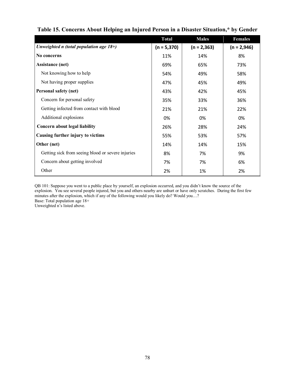|                                                   | <b>Total</b>  | <b>Males</b>  | <b>Females</b> |
|---------------------------------------------------|---------------|---------------|----------------|
| Unweighted n (total population age $18+$ )        | $(n = 5,370)$ | $(n = 2,363)$ | $(n = 2,946)$  |
| No concerns                                       | 11%           | 14%           | 8%             |
| <b>Assistance (net)</b>                           | 69%           | 65%           | 73%            |
| Not knowing how to help                           | 54%           | 49%           | 58%            |
| Not having proper supplies                        | 47%           | 45%           | 49%            |
| Personal safety (net)                             | 43%           | 42%           | 45%            |
| Concern for personal safety                       | 35%           | 33%           | 36%            |
| Getting infected from contact with blood          | 21%           | 21%           | 22%            |
| Additional explosions                             | 0%            | 0%            | 0%             |
| Concern about legal liability                     | 26%           | 28%           | 24%            |
| Causing further injury to victims                 | 55%           | 53%           | 57%            |
| Other (net)                                       | 14%           | 14%           | 15%            |
| Getting sick from seeing blood or severe injuries | 8%            | 7%            | 9%             |
| Concern about getting involved                    | 7%            | 7%            | 6%             |
| Other                                             | 2%            | 1%            | 2%             |

## **Table 15. Concerns About Helping an Injured Person in a Disaster Situation,\* by Gender**

QB 101: Suppose you went to a public place by yourself, an explosion occurred, and you didn't know the source of the explosion. You see several people injured, but you and others nearby are unhurt or have only scratches. During the first few minutes after the explosion, which if any of the following would you likely do? Would you…? Base: Total population age 18+

Unweighted n's listed above.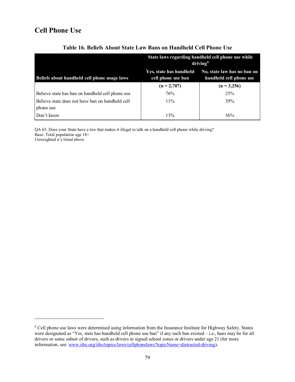# **Cell Phone Use**

 $\overline{a}$ 

|                                                               | State laws regarding handheld cell phone use while<br>driving <sup>8</sup> |                                                        |  |
|---------------------------------------------------------------|----------------------------------------------------------------------------|--------------------------------------------------------|--|
| Beliefs about handheld cell phone usage laws                  | Yes, state has handheld<br>cell phone use ban                              | No, state law has no ban on<br>handheld cell phone use |  |
|                                                               | $(n = 2,707)$                                                              | $(n = 3,256)$                                          |  |
| Believe state has ban on handheld cell phone use              | 76%                                                                        | 25%                                                    |  |
| Believe state does not have ban on handheld cell<br>phone use | $11\%$                                                                     | 39%                                                    |  |
| Don't know                                                    | 13%                                                                        | 36%                                                    |  |

## **Table 16. Beliefs About State Law Bans on Handheld Cell Phone Use**

QA 65: Does your State have a law that makes it illegal to talk on a handheld cell phone while driving? Base: Total population age 18+ Unweighted n's listed above

<span id="page-84-0"></span><sup>&</sup>lt;sup>8</sup> Cell phone use laws were determined using information from the Insurance Institute for Highway Safety. States were designated as "Yes, state has handheld cell phone use ban" if any such ban existed – i.e., bans may be for all drivers or some subset of drivers, such as drivers in signed school zones or drivers under age 21 (for more information, see: [www.iihs.org/iihs/topics/laws/cellphonelaws?topicName=distracted-driving\)](http://www.iihs.org/iihs/topics/laws/cellphonelaws?topicName=distracted-driving).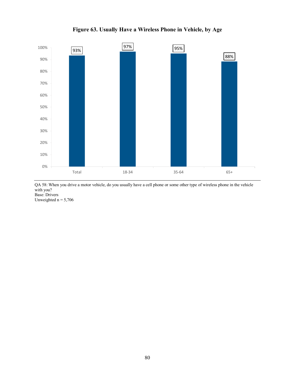

**Figure 63. Usually Have a Wireless Phone in Vehicle, by Age**

QA 58: When you drive a motor vehicle, do you usually have a cell phone or some other type of wireless phone in the vehicle with you? Base: Drivers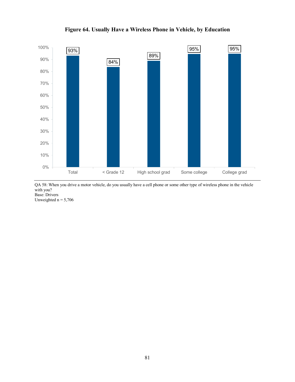

**Figure 64. Usually Have a Wireless Phone in Vehicle, by Education** 

QA 58: When you drive a motor vehicle, do you usually have a cell phone or some other type of wireless phone in the vehicle with you? Base: Drivers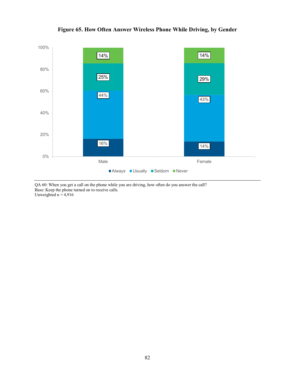

## **Figure 65. How Often Answer Wireless Phone While Driving, by Gender**

QA 60: When you get a call on the phone while you are driving, how often do you answer the call? Base: Keep the phone turned on to receive calls. Unweighted  $n = 4,916$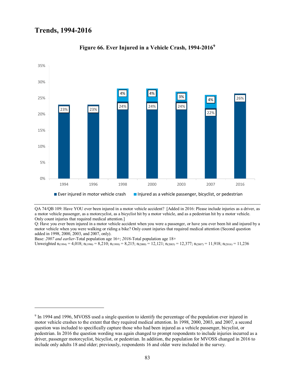$\ddot{\phantom{a}}$ 



#### **Figure 66. Ever Injured in a Vehicle Crash, 1994-2016[9](#page-88-0)**

QA 74/QB 109: Have YOU ever been injured in a motor vehicle accident? [Added in 2016: Please include injuries as a driver, as a motor vehicle passenger, as a motorcyclist, as a bicyclist hit by a motor vehicle, and as a pedestrian hit by a motor vehicle. Only count injuries that required medical attention.]

Q: Have you ever been injured in a motor vehicle accident when you were a passenger, or have you ever been hit and injured by a motor vehicle when you were walking or riding a bike? Only count injuries that required medical attention (Second question added in 1998, 2000, 2003, and 2007, only).

Base: *2007 and earlier-*Total population age 16+; *2016*-Total population age 18+

Unweighted  $n_{(1994)} = 4,018$ ;  $n_{(1996)} = 8,210$ ;  $n_{(1998)} = 8,215$ ;  $n_{(2000)} = 12,121$ ;  $n_{(2003)} = 12,377$ ;  $n_{(2007)} = 11,918$ ;  $n_{(2016)} = 11,236$ 

<span id="page-88-0"></span><sup>9</sup> In 1994 and 1996, MVOSS used a single question to identify the percentage of the population ever injured in motor vehicle crashes to the extent that they required medical attention. In 1998, 2000, 2003, and 2007, a second question was included to specifically capture those who had been injured as a vehicle passenger, bicyclist, or pedestrian. In 2016 the question wording was again changed to prompt respondents to include injuries incurred as a driver, passenger motorcyclist, bicyclist, or pedestrian. In addition, the population for MVOSS changed in 2016 to include only adults 18 and older; previously, respondents 16 and older were included in the survey.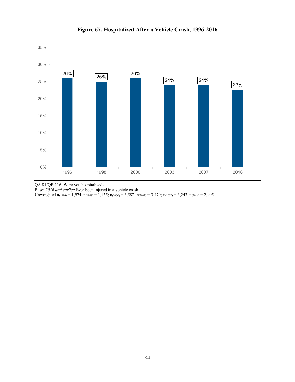

**Figure 67. Hospitalized After a Vehicle Crash, 1996-2016** 

QA 81/QB 116: Were you hospitalized?

Base: *2016 and earlier*-Ever been injured in a vehicle crash

Unweighted  $n_{(1996)} = 1,974$ ;  $n_{(1998)} = 1,155$ ;  $n_{(2000)} = 3,582$ ;  $n_{(2003)} = 3,470$ ;  $n_{(2007)} = 3,243$ ;  $n_{(2016)} = 2,995$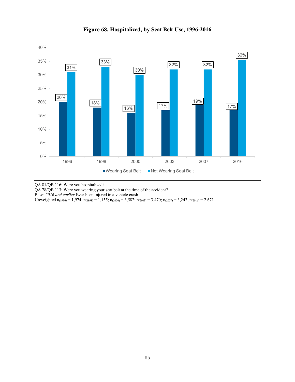

## **Figure 68. Hospitalized, by Seat Belt Use, 1996-2016**

QA 81/QB 116: Were you hospitalized?

QA 78/QB 113: Were you wearing your seat belt at the time of the accident?

Base: *2016 and earlier*-Ever been injured in a vehicle crash

Unweighted  $n_{(1996)} = 1,974$ ;  $n_{(1998)} = 1,155$ ;  $n_{(2000)} = 3,582$ ;  $n_{(2003)} = 3,470$ ;  $n_{(2007)} = 3,243$ ;  $n_{(2016)} = 2,671$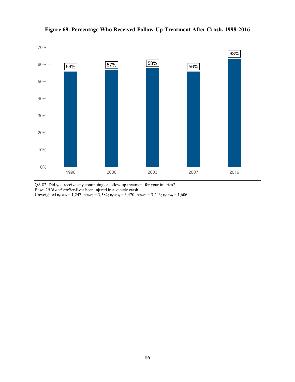

**Figure 69. Percentage Who Received Follow-Up Treatment After Crash, 1998-2016** 

QA 82: Did you receive any continuing or follow-up treatment for your injuries? Base: *2016 and earlier*-Ever been injured in a vehicle crash Unweighted  $n_{(1998)} = 1,247$ ;  $n_{(2000)} = 3,582$ ;  $n_{(2003)} = 3,470$ ;  $n_{(2007)} = 3,243$ ;  $n_{(2016)} = 1,606$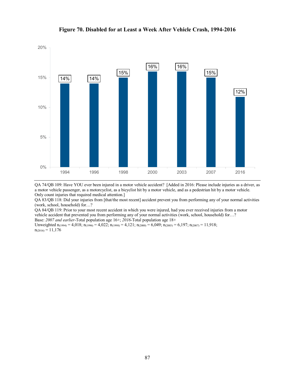

#### **Figure 70. Disabled for at Least a Week After Vehicle Crash, 1994-2016**

QA 74/QB 109: Have YOU ever been injured in a motor vehicle accident? [Added in 2016: Please include injuries as a driver, as a motor vehicle passenger, as a motorcyclist, as a bicyclist hit by a motor vehicle, and as a pedestrian hit by a motor vehicle. Only count injuries that required medical attention.]

QA 83/QB 118: Did your injuries from [that/the most recent] accident prevent you from performing any of your normal activities (work, school, household) for…?

QA 84/QB 119: Prior to your most recent accident in which you were injured, had you ever received injuries from a motor vehicle accident that prevented you from performing any of your normal activities (work, school, household) for…? Base: *2007 and earlier*-Total population age 16+; *2016*-Total population age 18+

Unweighted  $n_{(1994)} = 4{,}018$ ;  $n_{(1996)} = 4{,}022$ ;  $n_{(1998)} = 4{,}121$ ;  $n_{(2000)} = 6{,}049$ ;  $n_{(2003)} = 6{,}197$ ;  $n_{(2007)} = 11{,}918$ ;  $n_{(2016)} = 11,176$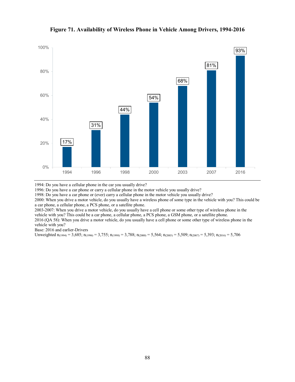

#### **Figure 71. Availability of Wireless Phone in Vehicle Among Drivers, 1994-2016**

1994: Do you have a cellular phone in the car you usually drive?

1996: Do you have a car phone or carry a cellular phone in the motor vehicle you usually drive?

1998: Do you have a car phone or (ever) carry a cellular phone in the motor vehicle you usually drive?

2000: When you drive a motor vehicle, do you usually have a wireless phone of some type in the vehicle with you? This could be a car phone, a cellular phone, a PCS phone, or a satellite phone.

2003-2007: When you drive a motor vehicle, do you usually have a cell phone or some other type of wireless phone in the vehicle with you? This could be a car phone, a cellular phone, a PCS phone, a GSM phone, or a satellite phone.

2016 (QA 58): When you drive a motor vehicle, do you usually have a cell phone or some other type of wireless phone in the vehicle with you?

Base: 2016 and earlier-Drivers

Unweighted  $n_{(1994)} = 3{,}685; n_{(1996)} = 3{,}755; n_{(1998)} = 3{,}788; n_{(2000)} = 5{,}564; n_{(2003)} = 5{,}509; n_{(2007)} = 5{,}393; n_{(2016)} = 5{,}706$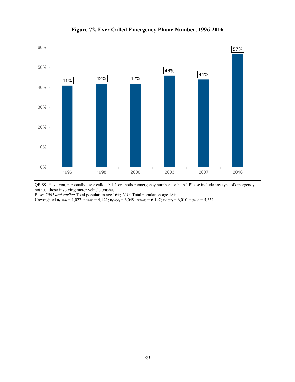

**Figure 72. Ever Called Emergency Phone Number, 1996-2016** 

QB 89: Have you, personally, ever called 9-1-1 or another emergency number for help? Please include any type of emergency, not just those involving motor vehicle crashes.

Base: *2007 and earlier*-Total population age 16+; *2016*-Total population age 18+

Unweighted  $n_{(1996)} = 4,022$ ;  $n_{(1998)} = 4,121$ ;  $n_{(2000)} = 6,049$ ;  $n_{(2003)} = 6,197$ ;  $n_{(2007)} = 6,010$ ;  $n_{(2016)} = 5,351$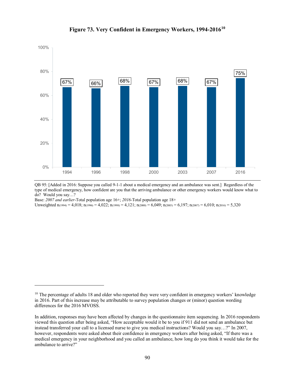

**Figure 73. Very Confident in Emergency Workers, 1994-2016[10](#page-95-0)**

QB 95: [Added in 2016: Suppose you called 9-1-1 about a medical emergency and an ambulance was sent.] Regardless of the type of medical emergency, how confident are you that the arriving ambulance or other emergency workers would know what to do? Would you say…?

Base: *2007 and earlier*-Total population age 16+; *2016*-Total population age 18+

 $\ddot{\phantom{a}}$ 

Unweighted  $n_{(1994)} = 4{,}018$ ;  $n_{(1996)} = 4{,}022$ ;  $n_{(1998)} = 4{,}121$ ;  $n_{(2000)} = 6{,}049$ ;  $n_{(2003)} = 6{,}197$ ;  $n_{(2007)} = 6{,}010$ ;  $n_{(2016)} = 5{,}320$ 

<span id="page-95-0"></span><sup>&</sup>lt;sup>10</sup> The percentage of adults 18 and older who reported they were very confident in emergency workers' knowledge in 2016. Part of this increase may be attributable to survey population changes or (minor) question wording differences for the 2016 MVOSS.

In addition, responses may have been affected by changes in the questionnaire item sequencing. In 2016 respondents viewed this question after being asked, "How acceptable would it be to you if 911 did not send an ambulance but instead transferred your call to a licensed nurse to give you medical instructions? Would you say…?" In 2007, however, respondents were asked about their confidence in emergency workers after being asked, "If there was a medical emergency in your neighborhood and you called an ambulance, how long do you think it would take for the ambulance to arrive?"